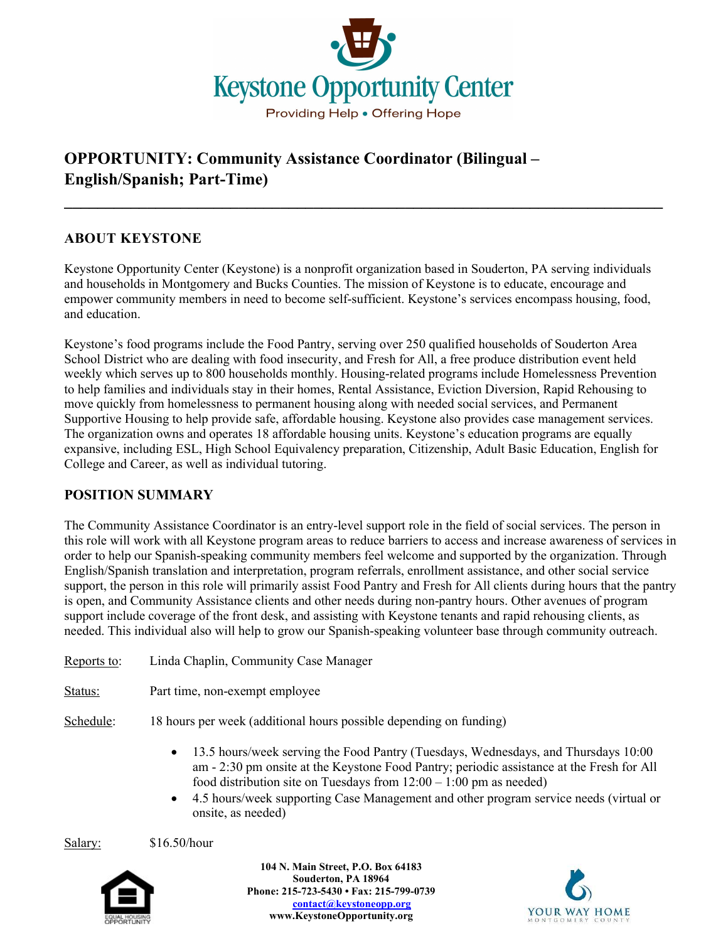

# OPPORTUNITY: Community Assistance Coordinator (Bilingual – English/Spanish; Part-Time)

### ABOUT KEYSTONE

Keystone Opportunity Center (Keystone) is a nonprofit organization based in Souderton, PA serving individuals and households in Montgomery and Bucks Counties. The mission of Keystone is to educate, encourage and empower community members in need to become self-sufficient. Keystone's services encompass housing, food, and education.

 $\mathcal{L}_\text{max}$  , and the contract of the contract of the contract of the contract of the contract of the contract of the contract of the contract of the contract of the contract of the contract of the contract of the contr

Keystone's food programs include the Food Pantry, serving over 250 qualified households of Souderton Area School District who are dealing with food insecurity, and Fresh for All, a free produce distribution event held weekly which serves up to 800 households monthly. Housing-related programs include Homelessness Prevention to help families and individuals stay in their homes, Rental Assistance, Eviction Diversion, Rapid Rehousing to move quickly from homelessness to permanent housing along with needed social services, and Permanent Supportive Housing to help provide safe, affordable housing. Keystone also provides case management services. The organization owns and operates 18 affordable housing units. Keystone's education programs are equally expansive, including ESL, High School Equivalency preparation, Citizenship, Adult Basic Education, English for College and Career, as well as individual tutoring.

#### POSITION SUMMARY

The Community Assistance Coordinator is an entry-level support role in the field of social services. The person in this role will work with all Keystone program areas to reduce barriers to access and increase awareness of services in order to help our Spanish-speaking community members feel welcome and supported by the organization. Through English/Spanish translation and interpretation, program referrals, enrollment assistance, and other social service support, the person in this role will primarily assist Food Pantry and Fresh for All clients during hours that the pantry is open, and Community Assistance clients and other needs during non-pantry hours. Other avenues of program support include coverage of the front desk, and assisting with Keystone tenants and rapid rehousing clients, as needed. This individual also will help to grow our Spanish-speaking volunteer base through community outreach.

Reports to: Linda Chaplin, Community Case Manager Status: Part time, non-exempt employee

Schedule: 18 hours per week (additional hours possible depending on funding)

- 13.5 hours/week serving the Food Pantry (Tuesdays, Wednesdays, and Thursdays 10:00 am - 2:30 pm onsite at the Keystone Food Pantry; periodic assistance at the Fresh for All food distribution site on Tuesdays from  $12:00 - 1:00$  pm as needed)
- 4.5 hours/week supporting Case Management and other program service needs (virtual or onsite, as needed)

Salary: \$16.50/hour



104 N. Main Street, P.O. Box 64183 Souderton, PA 18964 Phone: 215-723-5430 • Fax: 215-799-0739 contact@keystoneopp.org www.KeystoneOpportunity.org

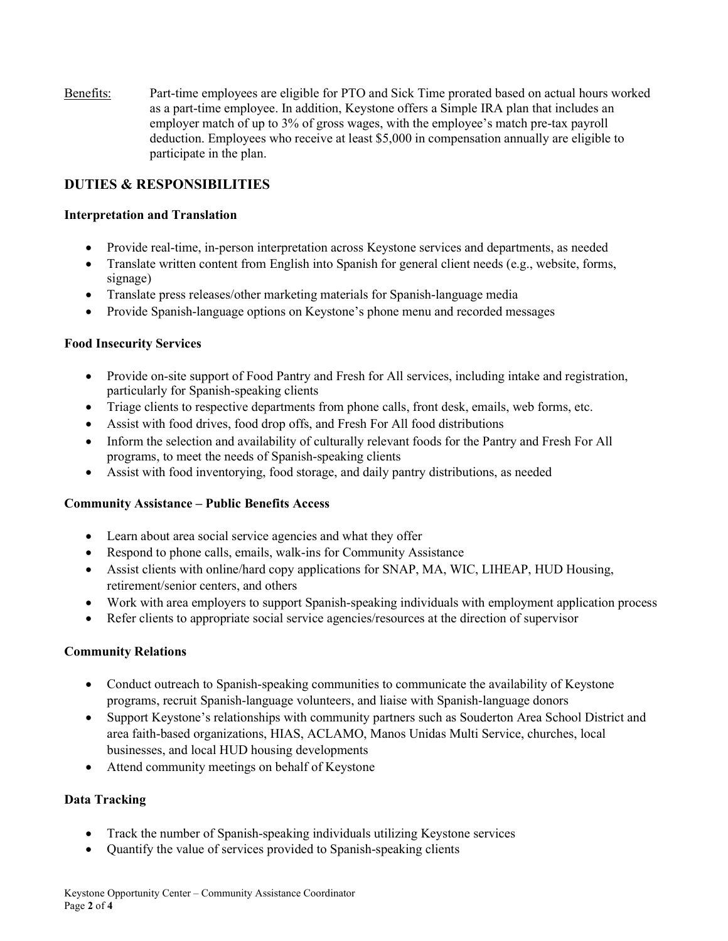Benefits: Part-time employees are eligible for PTO and Sick Time prorated based on actual hours worked as a part-time employee. In addition, Keystone offers a Simple IRA plan that includes an employer match of up to 3% of gross wages, with the employee's match pre-tax payroll deduction. Employees who receive at least \$5,000 in compensation annually are eligible to participate in the plan.

### DUTIES & RESPONSIBILITIES

#### Interpretation and Translation

- Provide real-time, in-person interpretation across Keystone services and departments, as needed
- Translate written content from English into Spanish for general client needs (e.g., website, forms, signage)
- Translate press releases/other marketing materials for Spanish-language media
- Provide Spanish-language options on Keystone's phone menu and recorded messages

#### Food Insecurity Services

- Provide on-site support of Food Pantry and Fresh for All services, including intake and registration, particularly for Spanish-speaking clients
- Triage clients to respective departments from phone calls, front desk, emails, web forms, etc.
- Assist with food drives, food drop offs, and Fresh For All food distributions
- Inform the selection and availability of culturally relevant foods for the Pantry and Fresh For All programs, to meet the needs of Spanish-speaking clients
- Assist with food inventorying, food storage, and daily pantry distributions, as needed

#### Community Assistance – Public Benefits Access

- Learn about area social service agencies and what they offer
- Respond to phone calls, emails, walk-ins for Community Assistance
- Assist clients with online/hard copy applications for SNAP, MA, WIC, LIHEAP, HUD Housing, retirement/senior centers, and others
- Work with area employers to support Spanish-speaking individuals with employment application process
- Refer clients to appropriate social service agencies/resources at the direction of supervisor

#### Community Relations

- Conduct outreach to Spanish-speaking communities to communicate the availability of Keystone programs, recruit Spanish-language volunteers, and liaise with Spanish-language donors
- Support Keystone's relationships with community partners such as Souderton Area School District and area faith-based organizations, HIAS, ACLAMO, Manos Unidas Multi Service, churches, local businesses, and local HUD housing developments
- Attend community meetings on behalf of Keystone

#### Data Tracking

- Track the number of Spanish-speaking individuals utilizing Keystone services
- Quantify the value of services provided to Spanish-speaking clients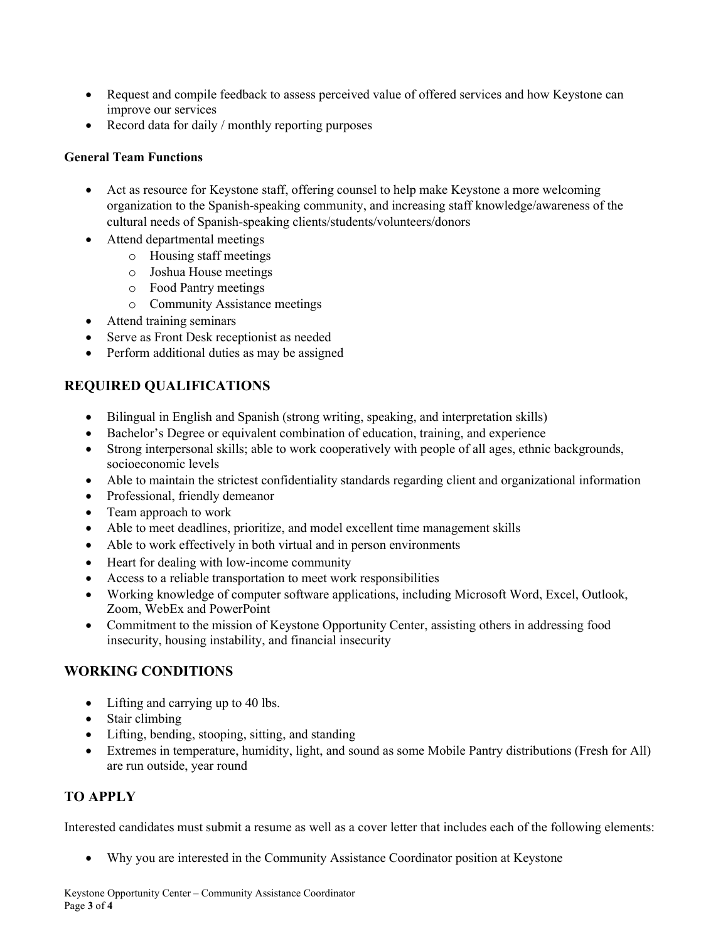- Request and compile feedback to assess perceived value of offered services and how Keystone can improve our services
- Record data for daily / monthly reporting purposes

#### General Team Functions

- Act as resource for Keystone staff, offering counsel to help make Keystone a more welcoming organization to the Spanish-speaking community, and increasing staff knowledge/awareness of the cultural needs of Spanish-speaking clients/students/volunteers/donors
- Attend departmental meetings
	- o Housing staff meetings
	- o Joshua House meetings
	- o Food Pantry meetings
	- o Community Assistance meetings
- Attend training seminars
- Serve as Front Desk receptionist as needed
- Perform additional duties as may be assigned

# REQUIRED QUALIFICATIONS

- Bilingual in English and Spanish (strong writing, speaking, and interpretation skills)
- Bachelor's Degree or equivalent combination of education, training, and experience
- Strong interpersonal skills; able to work cooperatively with people of all ages, ethnic backgrounds, socioeconomic levels
- Able to maintain the strictest confidentiality standards regarding client and organizational information
- Professional, friendly demeanor
- Team approach to work
- Able to meet deadlines, prioritize, and model excellent time management skills
- Able to work effectively in both virtual and in person environments
- Heart for dealing with low-income community
- Access to a reliable transportation to meet work responsibilities
- Working knowledge of computer software applications, including Microsoft Word, Excel, Outlook, Zoom, WebEx and PowerPoint
- Commitment to the mission of Keystone Opportunity Center, assisting others in addressing food insecurity, housing instability, and financial insecurity

# WORKING CONDITIONS

- Lifting and carrying up to 40 lbs.
- Stair climbing
- Lifting, bending, stooping, sitting, and standing
- Extremes in temperature, humidity, light, and sound as some Mobile Pantry distributions (Fresh for All) are run outside, year round

# TO APPLY

Interested candidates must submit a resume as well as a cover letter that includes each of the following elements:

Why you are interested in the Community Assistance Coordinator position at Keystone